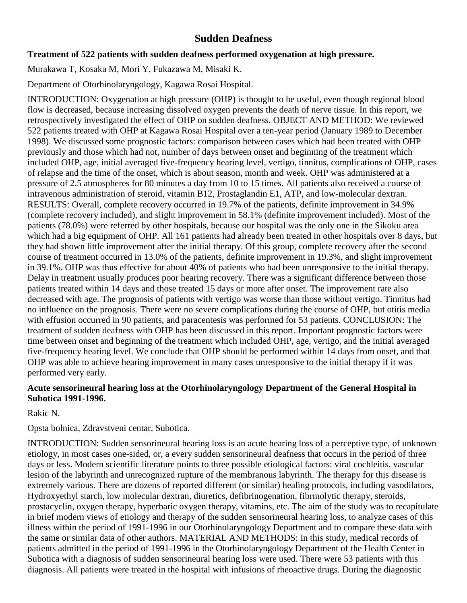# **Sudden Deafness**

#### **Treatment of 522 patients with sudden deafness performed oxygenation at high pressure.**

Murakawa T, Kosaka M, Mori Y, Fukazawa M, Misaki K.

Department of Otorhinolaryngology, Kagawa Rosai Hospital.

INTRODUCTION: Oxygenation at high pressure (OHP) is thought to be useful, even though regional blood flow is decreased, because increasing dissolved oxygen prevents the death of nerve tissue. In this report, we retrospectively investigated the effect of OHP on sudden deafness. OBJECT AND METHOD: We reviewed 522 patients treated with OHP at Kagawa Rosai Hospital over a ten-year period (January 1989 to December 1998). We discussed some prognostic factors: comparison between cases which had been treated with OHP previously and those which had not, number of days between onset and beginning of the treatment which included OHP, age, initial averaged five-frequency hearing level, vertigo, tinnitus, complications of OHP, cases of relapse and the time of the onset, which is about season, month and week. OHP was administered at a pressure of 2.5 atmospheres for 80 minutes a day from 10 to 15 times. All patients also received a course of intravenous administration of steroid, vitamin B12, Prostaglandin E1, ATP, and low-molecular dextran. RESULTS: Overall, complete recovery occurred in 19.7% of the patients, definite improvement in 34.9% (complete recovery included), and slight improvement in 58.1% (definite improvement included). Most of the patients (78.0%) were referred by other hospitals, because our hospital was the only one in the Sikoku area which had a big equipment of OHP. All 161 patients had already been treated in other hospitals over 8 days, but they had shown little improvement after the initial therapy. Of this group, complete recovery after the second course of treatment occurred in 13.0% of the patients, definite improvement in 19.3%, and slight improvement in 39.1%. OHP was thus effective for about 40% of patients who had been unresponsive to the initial therapy. Delay in treatment usually produces poor hearing recovery. There was a significant difference between those patients treated within 14 days and those treated 15 days or more after onset. The improvement rate also decreased with age. The prognosis of patients with vertigo was worse than those without vertigo. Tinnitus had no influence on the prognosis. There were no severe complications during the course of OHP, but otitis media with effusion occurred in 90 patients, and paracentesis was performed for 53 patients. CONCLUSION: The treatment of sudden deafness with OHP has been discussed in this report. Important prognostic factors were time between onset and beginning of the treatment which included OHP, age, vertigo, and the initial averaged five-frequency hearing level. We conclude that OHP should be performed within 14 days from onset, and that OHP was able to achieve hearing improvement in many cases unresponsive to the initial therapy if it was performed very early.

## **Acute sensorineural hearing loss at the Otorhinolaryngology Department of the General Hospital in Subotica 1991-1996.**

Rakic N.

Opsta bolnica, Zdravstveni centar, Subotica.

INTRODUCTION: Sudden sensorineural hearing loss is an acute hearing loss of a perceptive type, of unknown etiology, in most cases one-sided, or, a every sudden sensorineural deafness that occurs in the period of three days or less. Modern scientific literature points to three possible etiological factors: viral cochleitis, vascular lesion of the labyrinth and unrecognized rupture of the membranous labyrinth. The therapy for this disease is extremely various. There are dozens of reported different (or similar) healing protocols, including vasodilators, Hydroxyethyl starch, low molecular dextran, diuretics, defibrinogenation, fibrmolytic therapy, steroids, prostacyclin, oxygen therapy, hyperbaric oxygen therapy, vitamins, etc. The aim of the study was to recapitulate in brief modern views of etiology and therapy of the sudden sensorineural hearing loss, to analyze cases of this illness within the period of 1991-1996 in our Otorhinolaryngology Department and to compare these data with the same or similar data of other authors. MATERIAL AND METHODS: In this study, medical records of patients admitted in the period of 1991-1996 in the Otorhinolaryngology Department of the Health Center in Subotica with a diagnosis of sudden sensorineural hearing loss were used. There were 53 patients with this diagnosis. All patients were treated in the hospital with infusions of rheoactive drugs. During the diagnostic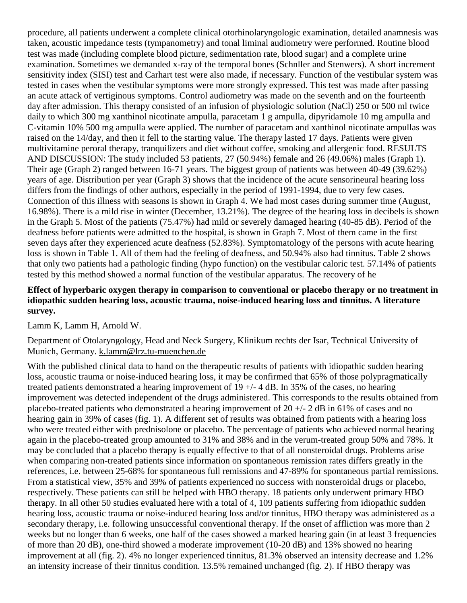procedure, all patients underwent a complete clinical otorhinolaryngologic examination, detailed anamnesis was taken, acoustic impedance tests (tympanometry) and tonal liminal audiometry were performed. Routine blood test was made (including complete blood picture, sedimentation rate, blood sugar) and a complete urine examination. Sometimes we demanded x-ray of the temporal bones (Schnller and Stenwers). A short increment sensitivity index (SISI) test and Carhart test were also made, if necessary. Function of the vestibular system was tested in cases when the vestibular symptoms were more strongly expressed. This test was made after passing an acute attack of vertiginous symptoms. Control audiometry was made on the seventh and on the fourteenth day after admission. This therapy consisted of an infusion of physiologic solution (NaCl) 250 or 500 ml twice daily to which 300 mg xanthinol nicotinate ampulla, paracetam 1 g ampulla, dipyridamole 10 mg ampulla and C-vitamin 10% 500 mg ampulla were applied. The number of paracetam and xanthinol nicotinate ampullas was raised on the 14/day, and then it fell to the starting value. The therapy lasted 17 days. Patients were given multivitamine peroral therapy, tranquilizers and diet without coffee, smoking and allergenic food. RESULTS AND DISCUSSION: The study included 53 patients, 27 (50.94%) female and 26 (49.06%) males (Graph 1). Their age (Graph 2) ranged between 16-71 years. The biggest group of patients was between 40-49 (39.62%) years of age. Distribution per year (Graph 3) shows that the incidence of the acute sensorineural hearing loss differs from the findings of other authors, especially in the period of 1991-1994, due to very few cases. Connection of this illness with seasons is shown in Graph 4. We had most cases during summer time (August, 16.98%). There is a mild rise in winter (December, 13.21%). The degree of the hearing loss in decibels is shown in the Graph 5. Most of the patients (75.47%) had mild or severely damaged hearing (40-85 dB). Period of the deafness before patients were admitted to the hospital, is shown in Graph 7. Most of them came in the first seven days after they experienced acute deafness (52.83%). Symptomatology of the persons with acute hearing loss is shown in Table 1. All of them had the feeling of deafness, and 50.94% also had tinnitus. Table 2 shows that only two patients had a pathologic finding (hypo function) on the vestibular caloric test. 57.14% of patients tested by this method showed a normal function of the vestibular apparatus. The recovery of he

#### **Effect of hyperbaric oxygen therapy in comparison to conventional or placebo therapy or no treatment in idiopathic sudden hearing loss, acoustic trauma, noise-induced hearing loss and tinnitus. A literature survey.**

Lamm K, Lamm H, Arnold W.

Department of Otolaryngology, Head and Neck Surgery, Klinikum rechts der Isar, Technical University of Munich, Germany. [k.lamm@lrz.tu-muenchen.de](mailto:k.lamm@lrz.tu-muenchen.de)

With the published clinical data to hand on the therapeutic results of patients with idiopathic sudden hearing loss, acoustic trauma or noise-induced hearing loss, it may be confirmed that 65% of those polypragmatically treated patients demonstrated a hearing improvement of 19 +/- 4 dB. In 35% of the cases, no hearing improvement was detected independent of the drugs administered. This corresponds to the results obtained from placebo-treated patients who demonstrated a hearing improvement of  $20 +12$  dB in 61% of cases and no hearing gain in 39% of cases (fig. 1). A different set of results was obtained from patients with a hearing loss who were treated either with prednisolone or placebo. The percentage of patients who achieved normal hearing again in the placebo-treated group amounted to 31% and 38% and in the verum-treated group 50% and 78%. It may be concluded that a placebo therapy is equally effective to that of all nonsteroidal drugs. Problems arise when comparing non-treated patients since information on spontaneous remission rates differs greatly in the references, i.e. between 25-68% for spontaneous full remissions and 47-89% for spontaneous partial remissions. From a statistical view, 35% and 39% of patients experienced no success with nonsteroidal drugs or placebo, respectively. These patients can still be helped with HBO therapy. 18 patients only underwent primary HBO therapy. In all other 50 studies evaluated here with a total of 4, 109 patients suffering from idiopathic sudden hearing loss, acoustic trauma or noise-induced hearing loss and/or tinnitus, HBO therapy was administered as a secondary therapy, i.e. following unsuccessful conventional therapy. If the onset of affliction was more than 2 weeks but no longer than 6 weeks, one half of the cases showed a marked hearing gain (in at least 3 frequencies of more than 20 dB), one-third showed a moderate improvement (10-20 dB) and 13% showed no hearing improvement at all (fig. 2). 4% no longer experienced tinnitus, 81.3% observed an intensity decrease and 1.2% an intensity increase of their tinnitus condition. 13.5% remained unchanged (fig. 2). If HBO therapy was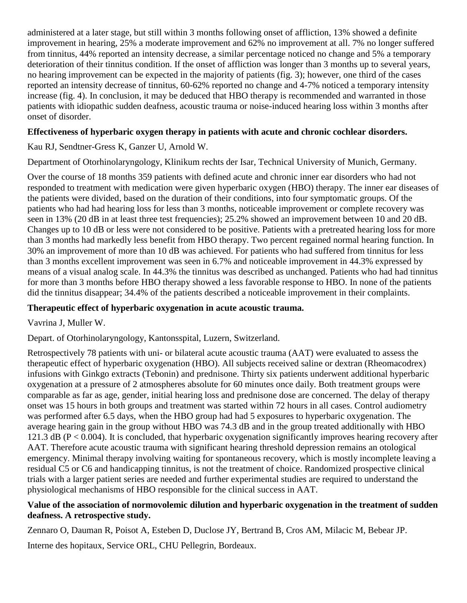administered at a later stage, but still within 3 months following onset of affliction, 13% showed a definite improvement in hearing, 25% a moderate improvement and 62% no improvement at all. 7% no longer suffered from tinnitus, 44% reported an intensity decrease, a similar percentage noticed no change and 5% a temporary deterioration of their tinnitus condition. If the onset of affliction was longer than 3 months up to several years, no hearing improvement can be expected in the majority of patients (fig. 3); however, one third of the cases reported an intensity decrease of tinnitus, 60-62% reported no change and 4-7% noticed a temporary intensity increase (fig. 4). In conclusion, it may be deduced that HBO therapy is recommended and warranted in those patients with idiopathic sudden deafness, acoustic trauma or noise-induced hearing loss within 3 months after onset of disorder.

## **Effectiveness of hyperbaric oxygen therapy in patients with acute and chronic cochlear disorders.**

Kau RJ, Sendtner-Gress K, Ganzer U, Arnold W.

Department of Otorhinolaryngology, Klinikum rechts der Isar, Technical University of Munich, Germany.

Over the course of 18 months 359 patients with defined acute and chronic inner ear disorders who had not responded to treatment with medication were given hyperbaric oxygen (HBO) therapy. The inner ear diseases of the patients were divided, based on the duration of their conditions, into four symptomatic groups. Of the patients who had had hearing loss for less than 3 months, noticeable improvement or complete recovery was seen in 13% (20 dB in at least three test frequencies); 25.2% showed an improvement between 10 and 20 dB. Changes up to 10 dB or less were not considered to be positive. Patients with a pretreated hearing loss for more than 3 months had markedly less benefit from HBO therapy. Two percent regained normal hearing function. In 30% an improvement of more than 10 dB was achieved. For patients who had suffered from tinnitus for less than 3 months excellent improvement was seen in 6.7% and noticeable improvement in 44.3% expressed by means of a visual analog scale. In 44.3% the tinnitus was described as unchanged. Patients who had had tinnitus for more than 3 months before HBO therapy showed a less favorable response to HBO. In none of the patients did the tinnitus disappear; 34.4% of the patients described a noticeable improvement in their complaints.

#### **Therapeutic effect of hyperbaric oxygenation in acute acoustic trauma.**

Vavrina J, Muller W.

Depart. of Otorhinolaryngology, Kantonsspital, Luzern, Switzerland.

Retrospectively 78 patients with uni- or bilateral acute acoustic trauma (AAT) were evaluated to assess the therapeutic effect of hyperbaric oxygenation (HBO). All subjects received saline or dextran (Rheomacodrex) infusions with Ginkgo extracts (Tebonin) and prednisone. Thirty six patients underwent additional hyperbaric oxygenation at a pressure of 2 atmospheres absolute for 60 minutes once daily. Both treatment groups were comparable as far as age, gender, initial hearing loss and prednisone dose are concerned. The delay of therapy onset was 15 hours in both groups and treatment was started within 72 hours in all cases. Control audiometry was performed after 6.5 days, when the HBO group had had 5 exposures to hyperbaric oxygenation. The average hearing gain in the group without HBO was 74.3 dB and in the group treated additionally with HBO 121.3 dB ( $P < 0.004$ ). It is concluded, that hyperbaric oxygenation significantly improves hearing recovery after AAT. Therefore acute acoustic trauma with significant hearing threshold depression remains an otological emergency. Minimal therapy involving waiting for spontaneous recovery, which is mostly incomplete leaving a residual C5 or C6 and handicapping tinnitus, is not the treatment of choice. Randomized prospective clinical trials with a larger patient series are needed and further experimental studies are required to understand the physiological mechanisms of HBO responsible for the clinical success in AAT.

## **Value of the association of normovolemic dilution and hyperbaric oxygenation in the treatment of sudden deafness. A retrospective study.**

Zennaro O, Dauman R, Poisot A, Esteben D, Duclose JY, Bertrand B, Cros AM, Milacic M, Bebear JP.

Interne des hopitaux, Service ORL, CHU Pellegrin, Bordeaux.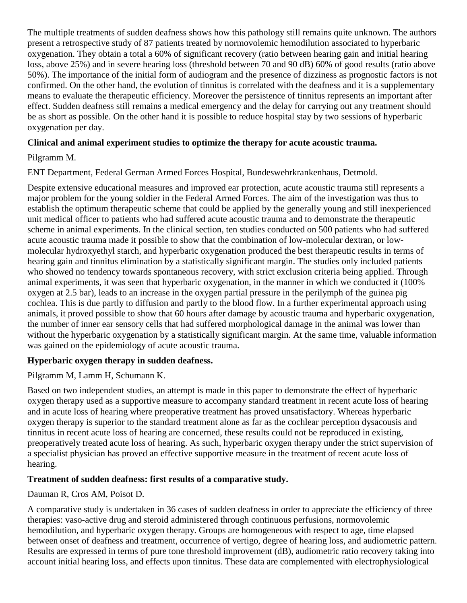The multiple treatments of sudden deafness shows how this pathology still remains quite unknown. The authors present a retrospective study of 87 patients treated by normovolemic hemodilution associated to hyperbaric oxygenation. They obtain a total a 60% of significant recovery (ratio between hearing gain and initial hearing loss, above 25%) and in severe hearing loss (threshold between 70 and 90 dB) 60% of good results (ratio above 50%). The importance of the initial form of audiogram and the presence of dizziness as prognostic factors is not confirmed. On the other hand, the evolution of tinnitus is correlated with the deafness and it is a supplementary means to evaluate the therapeutic efficiency. Moreover the persistence of tinnitus represents an important after effect. Sudden deafness still remains a medical emergency and the delay for carrying out any treatment should be as short as possible. On the other hand it is possible to reduce hospital stay by two sessions of hyperbaric oxygenation per day.

## **Clinical and animal experiment studies to optimize the therapy for acute acoustic trauma.**

## Pilgramm M.

ENT Department, Federal German Armed Forces Hospital, Bundeswehrkrankenhaus, Detmold.

Despite extensive educational measures and improved ear protection, acute acoustic trauma still represents a major problem for the young soldier in the Federal Armed Forces. The aim of the investigation was thus to establish the optimum therapeutic scheme that could be applied by the generally young and still inexperienced unit medical officer to patients who had suffered acute acoustic trauma and to demonstrate the therapeutic scheme in animal experiments. In the clinical section, ten studies conducted on 500 patients who had suffered acute acoustic trauma made it possible to show that the combination of low-molecular dextran, or lowmolecular hydroxyethyl starch, and hyperbaric oxygenation produced the best therapeutic results in terms of hearing gain and tinnitus elimination by a statistically significant margin. The studies only included patients who showed no tendency towards spontaneous recovery, with strict exclusion criteria being applied. Through animal experiments, it was seen that hyperbaric oxygenation, in the manner in which we conducted it (100% oxygen at 2.5 bar), leads to an increase in the oxygen partial pressure in the perilymph of the guinea pig cochlea. This is due partly to diffusion and partly to the blood flow. In a further experimental approach using animals, it proved possible to show that 60 hours after damage by acoustic trauma and hyperbaric oxygenation, the number of inner ear sensory cells that had suffered morphological damage in the animal was lower than without the hyperbaric oxygenation by a statistically significant margin. At the same time, valuable information was gained on the epidemiology of acute acoustic trauma.

#### **Hyperbaric oxygen therapy in sudden deafness.**

#### Pilgramm M, Lamm H, Schumann K.

Based on two independent studies, an attempt is made in this paper to demonstrate the effect of hyperbaric oxygen therapy used as a supportive measure to accompany standard treatment in recent acute loss of hearing and in acute loss of hearing where preoperative treatment has proved unsatisfactory. Whereas hyperbaric oxygen therapy is superior to the standard treatment alone as far as the cochlear perception dysacousis and tinnitus in recent acute loss of hearing are concerned, these results could not be reproduced in existing, preoperatively treated acute loss of hearing. As such, hyperbaric oxygen therapy under the strict supervision of a specialist physician has proved an effective supportive measure in the treatment of recent acute loss of hearing.

#### **Treatment of sudden deafness: first results of a comparative study.**

Dauman R, Cros AM, Poisot D.

A comparative study is undertaken in 36 cases of sudden deafness in order to appreciate the efficiency of three therapies: vaso-active drug and steroid administered through continuous perfusions, normovolemic hemodilution, and hyperbaric oxygen therapy. Groups are homogeneous with respect to age, time elapsed between onset of deafness and treatment, occurrence of vertigo, degree of hearing loss, and audiometric pattern. Results are expressed in terms of pure tone threshold improvement (dB), audiometric ratio recovery taking into account initial hearing loss, and effects upon tinnitus. These data are complemented with electrophysiological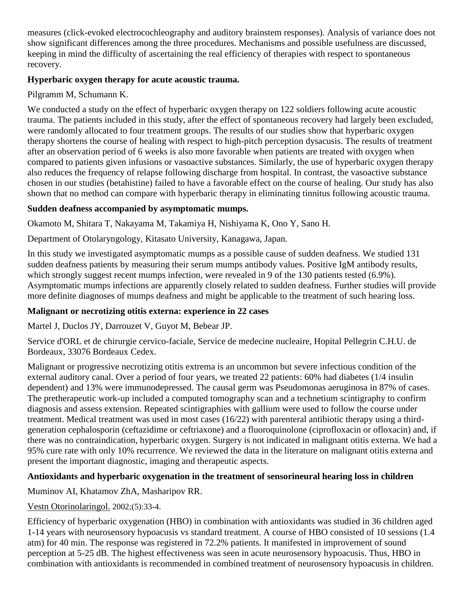measures (click-evoked electrocochleography and auditory brainstem responses). Analysis of variance does not show significant differences among the three procedures. Mechanisms and possible usefulness are discussed, keeping in mind the difficulty of ascertaining the real efficiency of therapies with respect to spontaneous recovery.

# **Hyperbaric oxygen therapy for acute acoustic trauma.**

Pilgramm M, Schumann K.

We conducted a study on the effect of hyperbaric oxygen therapy on 122 soldiers following acute acoustic trauma. The patients included in this study, after the effect of spontaneous recovery had largely been excluded, were randomly allocated to four treatment groups. The results of our studies show that hyperbaric oxygen therapy shortens the course of healing with respect to high-pitch perception dysacusis. The results of treatment after an observation period of 6 weeks is also more favorable when patients are treated with oxygen when compared to patients given infusions or vasoactive substances. Similarly, the use of hyperbaric oxygen therapy also reduces the frequency of relapse following discharge from hospital. In contrast, the vasoactive substance chosen in our studies (betahistine) failed to have a favorable effect on the course of healing. Our study has also shown that no method can compare with hyperbaric therapy in eliminating tinnitus following acoustic trauma.

# **Sudden deafness accompanied by asymptomatic mumps.**

Okamoto M, Shitara T, Nakayama M, Takamiya H, Nishiyama K, Ono Y, Sano H.

Department of Otolaryngology, Kitasato University, Kanagawa, Japan.

In this study we investigated asymptomatic mumps as a possible cause of sudden deafness. We studied 131 sudden deafness patients by measuring their serum mumps antibody values. Positive IgM antibody results, which strongly suggest recent mumps infection, were revealed in 9 of the 130 patients tested (6.9%). Asymptomatic mumps infections are apparently closely related to sudden deafness. Further studies will provide more definite diagnoses of mumps deafness and might be applicable to the treatment of such hearing loss.

# **Malignant or necrotizing otitis externa: experience in 22 cases**

Martel J, Duclos JY, Darrouzet V, Guyot M, Bebear JP.

Service d'ORL et de chirurgie cervico-faciale, Service de medecine nucleaire, Hopital Pellegrin C.H.U. de Bordeaux, 33076 Bordeaux Cedex.

Malignant or progressive necrotizing otitis extrema is an uncommon but severe infectious condition of the external auditory canal. Over a period of four years, we treated 22 patients: 60% had diabetes (1/4 insulin dependent) and 13% were immunodepressed. The causal germ was Pseudomonas aeruginosa in 87% of cases. The pretherapeutic work-up included a computed tomography scan and a technetium scintigraphy to confirm diagnosis and assess extension. Repeated scintigraphies with gallium were used to follow the course under treatment. Medical treatment was used in most cases (16/22) with parenteral antibiotic therapy using a thirdgeneration cephalosporin (ceftazidime or ceftriaxone) and a fluoroquinolone (ciprofloxacin or ofloxacin) and, if there was no contraindication, hyperbaric oxygen. Surgery is not indicated in malignant otitis externa. We had a 95% cure rate with only 10% recurrence. We reviewed the data in the literature on malignant otitis externa and present the important diagnostic, imaging and therapeutic aspects.

# **Antioxidants and hyperbaric oxygenation in the treatment of sensorineural hearing loss in children**

[Muminov AI,](http://www.ncbi.nlm.nih.gov/entrez/query.fcgi?db=pubmed&cmd=Search&itool=pubmed_AbstractPlus&term=%22Muminov+AI%22%5BAuthor%5D) [Khatamov ZhA,](http://www.ncbi.nlm.nih.gov/entrez/query.fcgi?db=pubmed&cmd=Search&itool=pubmed_AbstractPlus&term=%22Khatamov+ZhA%22%5BAuthor%5D) [Masharipov RR.](http://www.ncbi.nlm.nih.gov/entrez/query.fcgi?db=pubmed&cmd=Search&itool=pubmed_AbstractPlus&term=%22Masharipov+RR%22%5BAuthor%5D)

# [Vestn Otorinolaringol.](javascript:AL_get(this,%20) 2002;(5):33-4.

Efficiency of hyperbaric oxygenation (HBO) in combination with antioxidants was studied in 36 children aged 1-14 years with neurosensory hypoacusis vs standard treatment. A course of HBO consisted of 10 sessions (1.4 atm) for 40 min. The response was registered in 72.2% patients. It manifested in improvement of sound perception at 5-25 dB. The highest effectiveness was seen in acute neurosensory hypoacusis. Thus, HBO in combination with antioxidants is recommended in combined treatment of neurosensory hypoacusis in children.